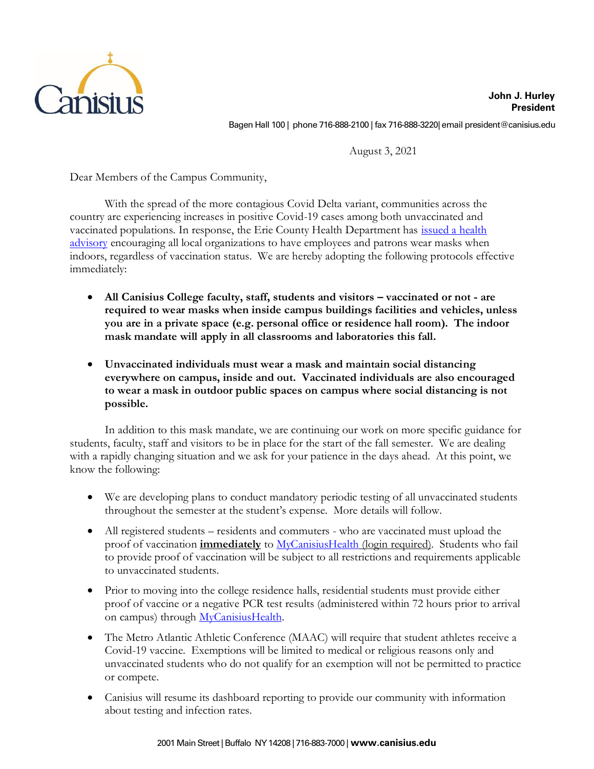

**John J. Hurley President** Bagen Hall 100 | phone 716-888-2100 | fax 716-888-3220| email president@canisius.edu

August 3, 2021

Dear Members of the Campus Community,

With the spread of the more contagious Covid Delta variant, communities across the country are experiencing increases in positive Covid-19 cases among both unvaccinated and vaccinated populations. In response, the Erie County Health Department has [issued a health](https://www2.erie.gov/exec/index.php?q=press/poloncarz-statement-emergency-order-use-face-masks-county-owned-facilities-due-risk-covid-19-d)  [advisory](https://www2.erie.gov/exec/index.php?q=press/poloncarz-statement-emergency-order-use-face-masks-county-owned-facilities-due-risk-covid-19-d) encouraging all local organizations to have employees and patrons wear masks when indoors, regardless of vaccination status. We are hereby adopting the following protocols effective immediately:

- All Canisius College faculty, staff, students and visitors vaccinated or not are **required to wear masks when inside campus buildings facilities and vehicles, unless you are in a private space (e.g. personal office or residence hall room). The indoor mask mandate will apply in all classrooms and laboratories this fall.**
- **Unvaccinated individuals must wear a mask and maintain social distancing everywhere on campus, inside and out. Vaccinated individuals are also encouraged to wear a mask in outdoor public spaces on campus where social distancing is not possible.**

In addition to this mask mandate, we are continuing our work on more specific guidance for students, faculty, staff and visitors to be in place for the start of the fall semester. We are dealing with a rapidly changing situation and we ask for your patience in the days ahead. At this point, we know the following:

- We are developing plans to conduct mandatory periodic testing of all unvaccinated students throughout the semester at the student's expense. More details will follow.
- All registered students residents and commuters who are vaccinated must upload the proof of vaccination **immediately** t[o MyCanisiusHealth](https://canisius.medicatconnect.com/home.aspx) (login required). Students who fail to provide proof of vaccination will be subject to all restrictions and requirements applicable to unvaccinated students.
- Prior to moving into the college residence halls, residential students must provide either proof of vaccine or a negative PCR test results (administered within 72 hours prior to arrival on campus) through [MyCanisiusHealth.](https://canisius.medicatconnect.com/home.aspx)
- The Metro Atlantic Athletic Conference (MAAC) will require that student athletes receive a Covid-19 vaccine. Exemptions will be limited to medical or religious reasons only and unvaccinated students who do not qualify for an exemption will not be permitted to practice or compete.
- Canisius will resume its dashboard reporting to provide our community with information about testing and infection rates.